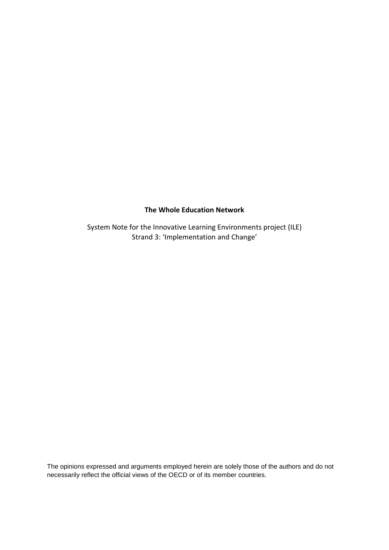# **The Whole Education Network**

System Note for the Innovative Learning Environments project (ILE) Strand 3: 'Implementation and Change'

The opinions expressed and arguments employed herein are solely those of the authors and do not necessarily reflect the official views of the OECD or of its member countries.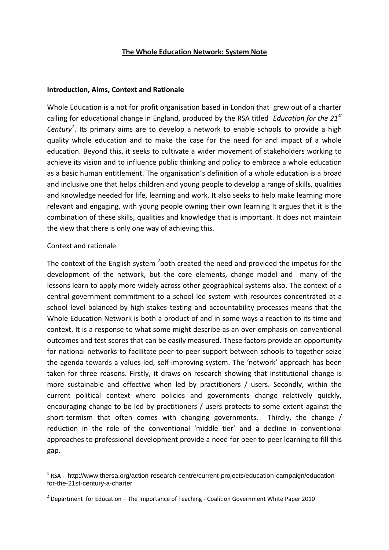## **The Whole Education Network: System Note**

#### **Introduction, Aims, Context and Rationale**

Whole Education is a not for profit organisation based in London that grew out of a charter calling for educational change in England, produced by the RSA titled *Education for the 21st Century<sup>1</sup>* . Its primary aims are to develop a network to enable schools to provide a high quality whole education and to make the case for the need for and impact of a whole education. Beyond this, it seeks to cultivate a wider movement of stakeholders working to achieve its vision and to influence public thinking and policy to embrace a whole education as a basic human entitlement. The organisation's definition of a whole education is a broad and inclusive one that helps children and young people to develop a range of skills, qualities and knowledge needed for life, learning and work. It also seeks to help make learning more relevant and engaging, with young people owning their own learning It argues that it is the combination of these skills, qualities and knowledge that is important. It does not maintain the view that there is only one way of achieving this.

### Context and rationale

**.** 

The context of the English system  $^2$ both created the need and provided the impetus for the development of the network, but the core elements, change model and many of the lessons learn to apply more widely across other geographical systems also. The context of a central government commitment to a school led system with resources concentrated at a school level balanced by high stakes testing and accountability processes means that the Whole Education Network is both a product of and in some ways a reaction to its time and context. It is a response to what some might describe as an over emphasis on conventional outcomes and test scores that can be easily measured. These factors provide an opportunity for national networks to facilitate peer-to-peer support between schools to together seize the agenda towards a values-led, self-improving system. The 'network' approach has been taken for three reasons. Firstly, it draws on research showing that institutional change is more sustainable and effective when led by practitioners / users. Secondly, within the current political context where policies and governments change relatively quickly, encouraging change to be led by practitioners / users protects to some extent against the short-termism that often comes with changing governments. Thirdly, the change / reduction in the role of the conventional 'middle tier' and a decline in conventional approaches to professional development provide a need for peer-to-peer learning to fill this gap.

<sup>&</sup>lt;sup>1</sup> RSA - http://www.thersa.org/action-research-centre/current-projects/education-campaign/educationfor-the-21st-century-a-charter

 $2$  Department for Education – The Importance of Teaching - Coalition Government White Paper 2010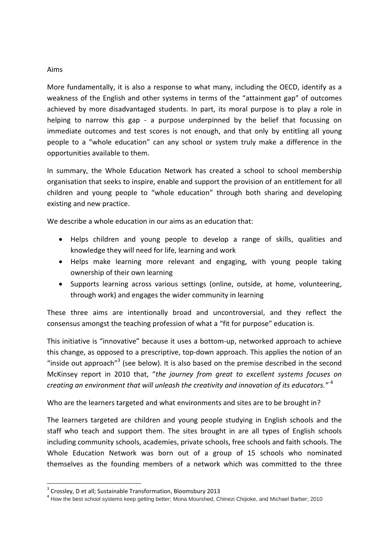## Aims

More fundamentally, it is also a response to what many, including the OECD, identify as a weakness of the English and other systems in terms of the "attainment gap" of outcomes achieved by more disadvantaged students. In part, its moral purpose is to play a role in helping to narrow this gap - a purpose underpinned by the belief that focussing on immediate outcomes and test scores is not enough, and that only by entitling all young people to a "whole education" can any school or system truly make a difference in the opportunities available to them.

In summary, the Whole Education Network has created a school to school membership organisation that seeks to inspire, enable and support the provision of an entitlement for all children and young people to "whole education" through both sharing and developing existing and new practice.

We describe a whole education in our aims as an education that:

- Helps children and young people to develop a range of skills, qualities and knowledge they will need for life, learning and work
- Helps make learning more relevant and engaging, with young people taking ownership of their own learning
- Supports learning across various settings (online, outside, at home, volunteering, through work) and engages the wider community in learning

These three aims are intentionally broad and uncontroversial, and they reflect the consensus amongst the teaching profession of what a "fit for purpose" education is.

This initiative is "innovative" because it uses a bottom-up, networked approach to achieve this change, as opposed to a prescriptive, top-down approach. This applies the notion of an "inside out approach" $3$  (see below). It is also based on the premise described in the second McKinsey report in 2010 that, "*the journey from great to excellent systems focuses on creating an environment that will unleash the creativity and innovation of its educators."* <sup>4</sup>

Who are the learners targeted and what environments and sites are to be brought in?

The learners targeted are children and young people studying in English schools and the staff who teach and support them. The sites brought in are all types of English schools including community schools, academies, private schools, free schools and faith schools. The Whole Education Network was born out of a group of 15 schools who nominated themselves as the founding members of a network which was committed to the three

**.** 

<sup>&</sup>lt;sup>3</sup> Crossley, D et all; Sustainable Transformation, Bloomsbury 2013

<sup>&</sup>lt;sup>4</sup> How the best school systems keep getting better; Mona Mourshed, Chinezi Chijioke, and Michael Barber; 2010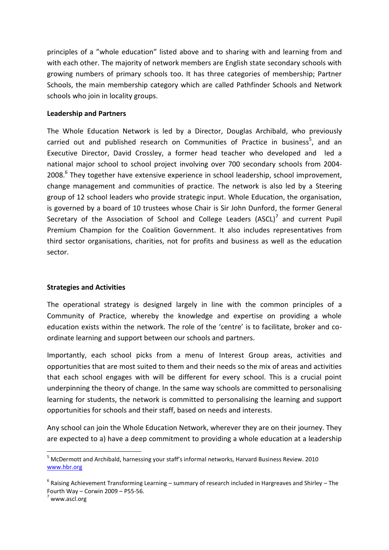principles of a "whole education" listed above and to sharing with and learning from and with each other. The majority of network members are English state secondary schools with growing numbers of primary schools too. It has three categories of membership; Partner Schools, the main membership category which are called Pathfinder Schools and Network schools who join in locality groups.

# **Leadership and Partners**

The Whole Education Network is led by a Director, Douglas Archibald, who previously carried out and published research on Communities of Practice in business<sup>5</sup>, and an Executive Director, David Crossley, a former head teacher who developed and led a national major school to school project involving over 700 secondary schools from 2004- 2008.<sup>6</sup> They together have extensive experience in school leadership, school improvement, change management and communities of practice. The network is also led by a Steering group of 12 school leaders who provide strategic input. Whole Education, the organisation, is governed by a board of 10 trustees whose Chair is Sir John Dunford, the former General Secretary of the Association of School and College Leaders (ASCL) $^7$  and current Pupil Premium Champion for the Coalition Government. It also includes representatives from third sector organisations, charities, not for profits and business as well as the education sector.

# **Strategies and Activities**

The operational strategy is designed largely in line with the common principles of a Community of Practice, whereby the knowledge and expertise on providing a whole education exists within the network. The role of the 'centre' is to facilitate, broker and coordinate learning and support between our schools and partners.

Importantly, each school picks from a menu of Interest Group areas, activities and opportunities that are most suited to them and their needs so the mix of areas and activities that each school engages with will be different for every school. This is a crucial point underpinning the theory of change. In the same way schools are committed to personalising learning for students, the network is committed to personalising the learning and support opportunities for schools and their staff, based on needs and interests.

Any school can join the Whole Education Network, wherever they are on their journey. They are expected to a) have a deep commitment to providing a whole education at a leadership

**.** 

<sup>5</sup> McDermott and Archibald, harnessing your staff's informal networks, Harvard Business Review. 2010 [www.hbr.org](http://www.hbr.org/)

 $^6$  Raising Achievement Transforming Learning – summary of research included in Hargreaves and Shirley – The Fourth Way – Corwin 2009 – P55-56.

 $^7$  www.ascl.org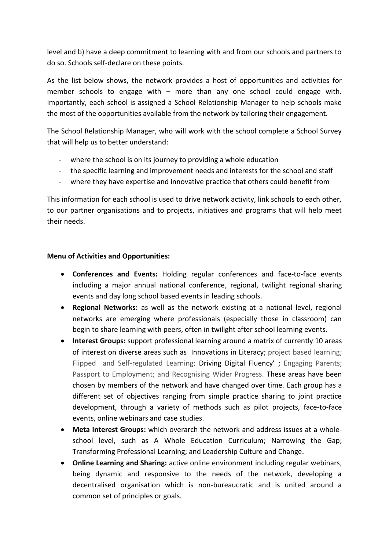level and b) have a deep commitment to learning with and from our schools and partners to do so. Schools self-declare on these points.

As the list below shows, the network provides a host of opportunities and activities for member schools to engage with – more than any one school could engage with. Importantly, each school is assigned a School Relationship Manager to help schools make the most of the opportunities available from the network by tailoring their engagement.

The School Relationship Manager, who will work with the school complete a School Survey that will help us to better understand:

- where the school is on its journey to providing a whole education
- the specific learning and improvement needs and interests for the school and staff
- where they have expertise and innovative practice that others could benefit from

This information for each school is used to drive network activity, link schools to each other, to our partner organisations and to projects, initiatives and programs that will help meet their needs.

# **Menu of Activities and Opportunities:**

- **Conferences and Events:** Holding regular conferences and face-to-face events including a major annual national conference, regional, twilight regional sharing events and day long school based events in leading schools.
- **Regional Networks:** as well as the network existing at a national level, regional networks are emerging where professionals (especially those in classroom) can begin to share learning with peers, often in twilight after school learning events.
- **Interest Groups:** support professional learning around a matrix of currently 10 areas of interest on diverse areas such as Innovations in Literacy; project based learning; Flipped and Self-regulated Learning; Driving Digital Fluency'; Engaging Parents; Passport to Employment; and Recognising Wider Progress. These areas have been chosen by members of the network and have changed over time. Each group has a different set of objectives ranging from simple practice sharing to joint practice development, through a variety of methods such as pilot projects, face-to-face events, online webinars and case studies.
- **Meta Interest Groups:** which overarch the network and address issues at a wholeschool level, such as A Whole Education Curriculum; Narrowing the Gap; Transforming Professional Learning; and Leadership Culture and Change.
- **Online Learning and Sharing:** active online environment including regular webinars, being dynamic and responsive to the needs of the network, developing a decentralised organisation which is non-bureaucratic and is united around a common set of principles or goals.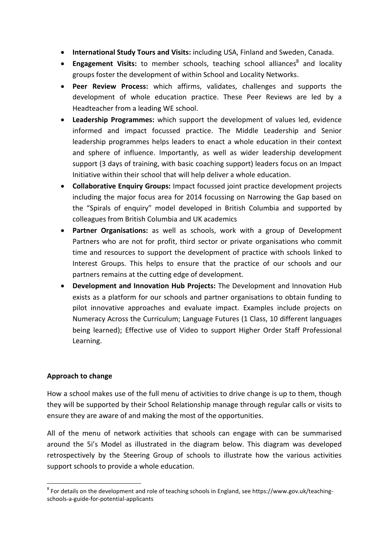- **International Study Tours and Visits:** including USA, Finland and Sweden, Canada.
- **Engagement Visits:** to member schools, teaching school alliances<sup>8</sup> and locality groups foster the development of within School and Locality Networks.
- **Peer Review Process:** which affirms, validates, challenges and supports the development of whole education practice. These Peer Reviews are led by a Headteacher from a leading WE school.
- **Leadership Programmes:** which support the development of values led, evidence informed and impact focussed practice. The Middle Leadership and Senior leadership programmes helps leaders to enact a whole education in their context and sphere of influence. Importantly, as well as wider leadership development support (3 days of training, with basic coaching support) leaders focus on an Impact Initiative within their school that will help deliver a whole education.
- **Collaborative Enquiry Groups:** Impact focussed joint practice development projects including the major focus area for 2014 focussing on Narrowing the Gap based on the "Spirals of enquiry" model developed in British Columbia and supported by colleagues from British Columbia and UK academics
- **Partner Organisations:** as well as schools, work with a group of Development Partners who are not for profit, third sector or private organisations who commit time and resources to support the development of practice with schools linked to Interest Groups. This helps to ensure that the practice of our schools and our partners remains at the cutting edge of development.
- **Development and Innovation Hub Projects:** The Development and Innovation Hub exists as a platform for our schools and partner organisations to obtain funding to pilot innovative approaches and evaluate impact. Examples include projects on Numeracy Across the Curriculum; Language Futures (1 Class, 10 different languages being learned); Effective use of Video to support Higher Order Staff Professional Learning.

# **Approach to change**

How a school makes use of the full menu of activities to drive change is up to them, though they will be supported by their School Relationship manage through regular calls or visits to ensure they are aware of and making the most of the opportunities.

All of the menu of network activities that schools can engage with can be summarised around the 5i's Model as illustrated in the diagram below. This diagram was developed retrospectively by the Steering Group of schools to illustrate how the various activities support schools to provide a whole education.

**<sup>.</sup>**  $^8$  For details on the development and role of teaching schools in England, see https://www.gov.uk/teachingschools-a-guide-for-potential-applicants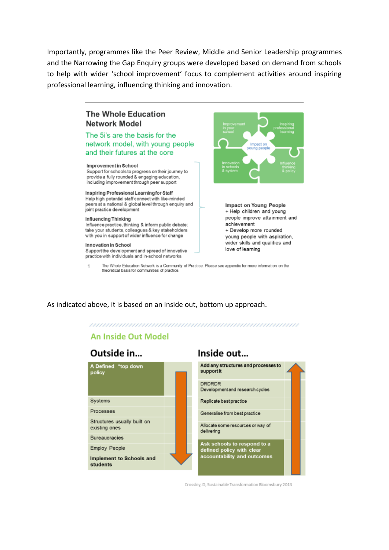Importantly, programmes like the Peer Review, Middle and Senior Leadership programmes and the Narrowing the Gap Enquiry groups were developed based on demand from schools to help with wider 'school improvement' focus to complement activities around inspiring professional learning, influencing thinking and innovation.

# The Whole Education Network Model

### The 5i's are the basis for the network model, with young people and their futures at the core

#### Improvement in School

Support for schools to progress on their journey to provide a fully rounded & engaging education, including improvement through peer support

#### Inspiring Professional Learning for Staff

Help high potential staff connect with like-minded peers at a national & global level through enquiry and joint practice development

#### Influencing Thinking

Influence practice, thinking & inform public debate; take your students, colleagues & key stakeholders with you in support of wider influence for change

#### Innovation in School

Support the development and spread of innovative practice with individuals and in-school networks



Impact on Young People + Help children and young people improve attainment and achievement + Develop more rounded young people with aspiration, wider skills and qualities and love of learning

The Whole Education Network is a Community of Practice. Please see appendix for more information on the  $\mathbf{1}$ theoretical basis for communities of practice

As indicated above, it is based on an inside out, bottom up approach.

#### 

# **An Inside Out Model**

# Outside in...



# Inside out...



Crossley, D. Sustainable Transformation Bloomsbury 2013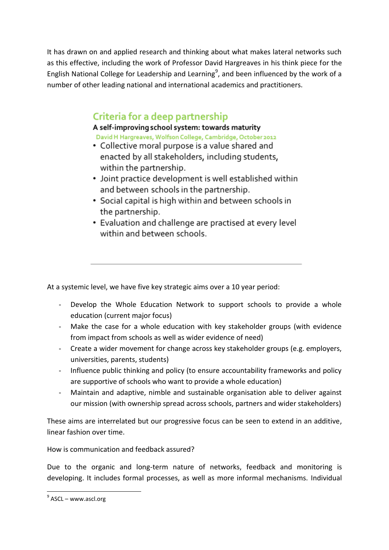It has drawn on and applied research and thinking about what makes lateral networks such as this effective, including the work of Professor David Hargreaves in his think piece for the English National College for Leadership and Learning<sup>9</sup>, and been influenced by the work of a number of other leading national and international academics and practitioners.

# Criteria for a deep partnership

# A self-improving school system: towards maturity

David H Hargreaves, Wolfson College, Cambridge, October 2012

- Collective moral purpose is a value shared and enacted by all stakeholders, including students, within the partnership.
- Joint practice development is well established within and between schools in the partnership.
- Social capital is high within and between schools in the partnership.
- Evaluation and challenge are practised at every level within and between schools.

At a systemic level, we have five key strategic aims over a 10 year period:

- Develop the Whole Education Network to support schools to provide a whole education (current major focus)
- Make the case for a whole education with key stakeholder groups (with evidence from impact from schools as well as wider evidence of need)
- Create a wider movement for change across key stakeholder groups (e.g. employers, universities, parents, students)
- Influence public thinking and policy (to ensure accountability frameworks and policy are supportive of schools who want to provide a whole education)
- Maintain and adaptive, nimble and sustainable organisation able to deliver against our mission (with ownership spread across schools, partners and wider stakeholders)

These aims are interrelated but our progressive focus can be seen to extend in an additive, linear fashion over time.

How is communication and feedback assured?

Due to the organic and long-term nature of networks, feedback and monitoring is developing. It includes formal processes, as well as more informal mechanisms. Individual

**.** 

<sup>&</sup>lt;sup>9</sup> ASCL – www.ascl.org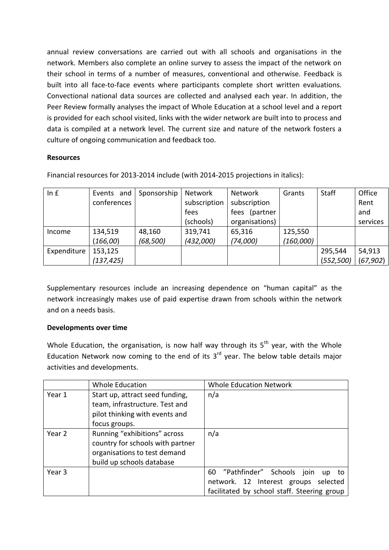annual review conversations are carried out with all schools and organisations in the network. Members also complete an online survey to assess the impact of the network on their school in terms of a number of measures, conventional and otherwise. Feedback is built into all face-to-face events where participants complete short written evaluations. Convectional national data sources are collected and analysed each year. In addition, the Peer Review formally analyses the impact of Whole Education at a school level and a report is provided for each school visited, links with the wider network are built into to process and data is compiled at a network level. The current size and nature of the network fosters a culture of ongoing communication and feedback too.

# **Resources**

Financial resources for 2013-2014 include (with 2014-2015 projections in italics):

| In $f$      | Events and  | Sponsorship | Network      | Network        | Grants    | <b>Staff</b> | Office    |
|-------------|-------------|-------------|--------------|----------------|-----------|--------------|-----------|
|             | conferences |             | subscription | subscription   |           |              | Rent      |
|             |             |             | fees         | fees (partner  |           |              | and       |
|             |             |             | (schools)    | organisations) |           |              | services  |
| Income      | 134,519     | 48,160      | 319,741      | 65,316         | 125,550   |              |           |
|             | (166,00)    | (68, 500)   | (432,000)    | (74,000)       | (160,000) |              |           |
| Expenditure | 153,125     |             |              |                |           | 295,544      | 54,913    |
|             | (137, 425)  |             |              |                |           | (552, 500)   | (67, 902) |

Supplementary resources include an increasing dependence on "human capital" as the network increasingly makes use of paid expertise drawn from schools within the network and on a needs basis.

# **Developments over time**

Whole Education, the organisation, is now half way through its  $5<sup>th</sup>$  year, with the Whole Education Network now coming to the end of its  $3<sup>rd</sup>$  year. The below table details major activities and developments.

|        | <b>Whole Education</b>                                                                                                        | <b>Whole Education Network</b>                                                                                                     |
|--------|-------------------------------------------------------------------------------------------------------------------------------|------------------------------------------------------------------------------------------------------------------------------------|
| Year 1 | Start up, attract seed funding,<br>team, infrastructure. Test and<br>pilot thinking with events and                           | n/a                                                                                                                                |
|        | focus groups.                                                                                                                 |                                                                                                                                    |
| Year 2 | Running "exhibitions" across<br>country for schools with partner<br>organisations to test demand<br>build up schools database | n/a                                                                                                                                |
| Year 3 |                                                                                                                               | 60 "Pathfinder" Schools<br>join<br>up<br>to<br>network. 12 Interest groups selected<br>facilitated by school staff. Steering group |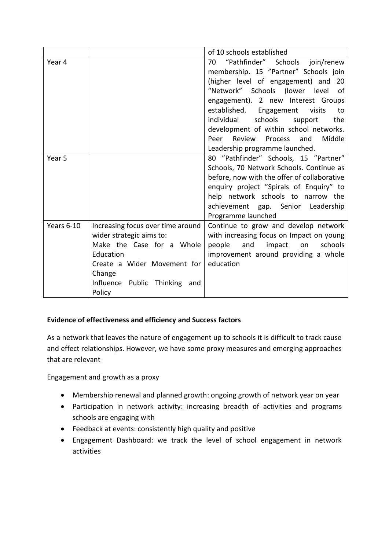|            |                                   | of 10 schools established                   |  |  |
|------------|-----------------------------------|---------------------------------------------|--|--|
| Year 4     |                                   | "Pathfinder" Schools join/renew<br>70       |  |  |
|            |                                   | membership. 15 "Partner" Schools join       |  |  |
|            |                                   | (higher level of engagement) and 20         |  |  |
|            |                                   | "Network" Schools (lower level<br>0f        |  |  |
|            |                                   | engagement). 2 new Interest Groups          |  |  |
|            |                                   | established. Engagement<br>visits<br>to     |  |  |
|            |                                   | individual<br>schools<br>the<br>support     |  |  |
|            |                                   | development of within school networks.      |  |  |
|            |                                   | Peer Review<br>and<br>Middle<br>Process     |  |  |
|            |                                   | Leadership programme launched.              |  |  |
| Year 5     |                                   | 80 "Pathfinder" Schools, 15 "Partner"       |  |  |
|            |                                   | Schools, 70 Network Schools. Continue as    |  |  |
|            |                                   | before, now with the offer of collaborative |  |  |
|            |                                   | enquiry project "Spirals of Enquiry" to     |  |  |
|            |                                   | help network schools to narrow the          |  |  |
|            |                                   | achievement gap. Senior Leadership          |  |  |
|            |                                   | Programme launched                          |  |  |
| Years 6-10 | Increasing focus over time around | Continue to grow and develop network        |  |  |
|            | wider strategic aims to:          | with increasing focus on Impact on young    |  |  |
|            | Make the Case for a Whole         | schools<br>people<br>and<br>impact<br>on    |  |  |
|            | Education                         | improvement around providing a whole        |  |  |
|            | Create a Wider Movement for       | education                                   |  |  |
|            | Change                            |                                             |  |  |
|            | Influence Public Thinking and     |                                             |  |  |
|            | Policy                            |                                             |  |  |

# **Evidence of effectiveness and efficiency and Success factors**

As a network that leaves the nature of engagement up to schools it is difficult to track cause and effect relationships. However, we have some proxy measures and emerging approaches that are relevant

Engagement and growth as a proxy

- Membership renewal and planned growth: ongoing growth of network year on year
- Participation in network activity: increasing breadth of activities and programs schools are engaging with
- Feedback at events: consistently high quality and positive
- Engagement Dashboard: we track the level of school engagement in network activities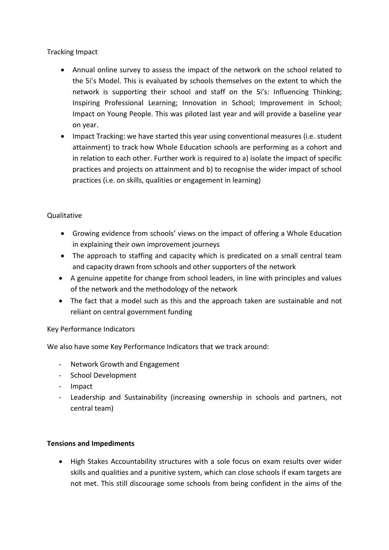# Tracking Impact

- Annual online survey to assess the impact of the network on the school related to the 5i's Model. This is evaluated by schools themselves on the extent to which the network is supporting their school and staff on the 5i's: Influencing Thinking; Inspiring Professional Learning; Innovation in School; Improvement in School; Impact on Young People. This was piloted last year and will provide a baseline year on year.
- Impact Tracking: we have started this year using conventional measures (i.e. student attainment) to track how Whole Education schools are performing as a cohort and in relation to each other. Further work is required to a) isolate the impact of specific practices and projects on attainment and b) to recognise the wider impact of school practices (i.e. on skills, qualities or engagement in learning)

# **Qualitative**

- Growing evidence from schools' views on the impact of offering a Whole Education in explaining their own improvement journeys
- The approach to staffing and capacity which is predicated on a small central team and capacity drawn from schools and other supporters of the network
- A genuine appetite for change from school leaders, in line with principles and values of the network and the methodology of the network
- The fact that a model such as this and the approach taken are sustainable and not reliant on central government funding

# Key Performance Indicators

We also have some Key Performance Indicators that we track around:

- Network Growth and Engagement
- School Development
- Impact
- Leadership and Sustainability (increasing ownership in schools and partners, not central team)

# **Tensions and Impediments**

 High Stakes Accountability structures with a sole focus on exam results over wider skills and qualities and a punitive system, which can close schools if exam targets are not met. This still discourage some schools from being confident in the aims of the